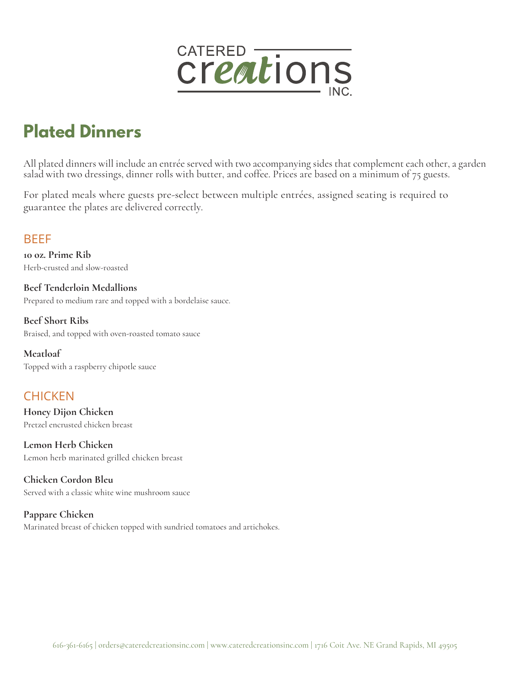

# **Plated Dinners**

All plated dinners will include an entrée served with two accompanying sides that complement each other, a garden salad with two dressings, dinner rolls with butter, and coffee. Prices are based on a minimum of 75 guests.

For plated meals where guests pre-select between multiple entrées, assigned seating is required to guarantee the plates are delivered correctly.

#### BEEF

**10 oz. Prime Rib**  Herb-crusted and slow-roasted

**Beef Tenderloin Medallions**  Prepared to medium rare and topped with a bordelaise sauce.

**Beef Short Ribs** Braised, and topped with oven-roasted tomato sauce

**Meatloaf**  Topped with a raspberry chipotle sauce

## **CHICKEN**

**Honey Dijon Chicken**  Pretzel encrusted chicken breast

**Lemon Herb Chicken**  Lemon herb marinated grilled chicken breast

**Chicken Cordon Bleu**  Served with a classic white wine mushroom sauce

**Pappare Chicken**  Marinated breast of chicken topped with sundried tomatoes and artichokes.